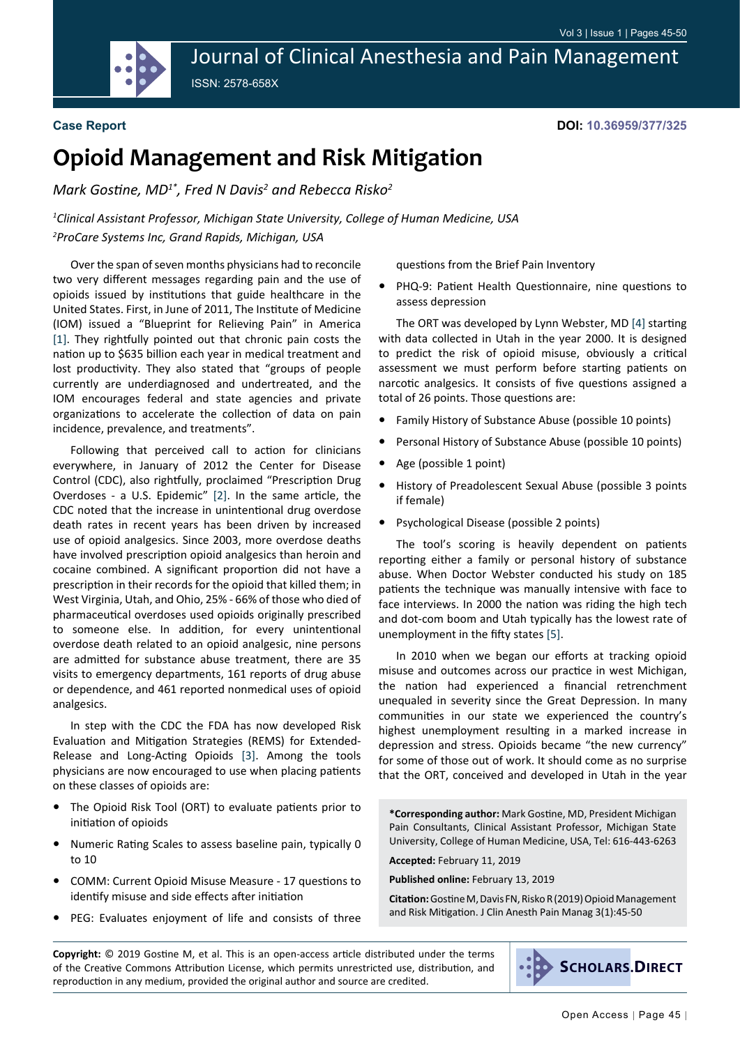Journal of Clinical Anesthesia and Pain Management ISSN: 2578-658X

#### **Case Report**

**DOI: 10.36959/377/325**

# **Opioid Management and Risk Mitigation**

*Mark Gostine, MD1\*, Fred N Davis<sup>2</sup> and Rebecca Risko<sup>2</sup>*

*1 Clinical Assistant Professor, Michigan State University, College of Human Medicine, USA 2 ProCare Systems Inc, Grand Rapids, Michigan, USA*

Over the span of seven months physicians had to reconcile two very different messages regarding pain and the use of opioids issued by institutions that guide healthcare in the United States. First, in June of 2011, The Institute of Medicine (IOM) issued a "Blueprint for Relieving Pain" in America [[1\]](#page-5-0). They rightfully pointed out that chronic pain costs the nation up to \$635 billion each year in medical treatment and lost productivity. They also stated that "groups of people currently are underdiagnosed and undertreated, and the IOM encourages federal and state agencies and private organizations to accelerate the collection of data on pain incidence, prevalence, and treatments".

Following that perceived call to action for clinicians everywhere, in January of 2012 the Center for Disease Control (CDC), also rightfully, proclaimed "Prescription Drug Overdoses - a U.S. Epidemic" [[2\]](#page-5-1). In the same article, the CDC noted that the increase in unintentional drug overdose death rates in recent years has been driven by increased use of opioid analgesics. Since 2003, more overdose deaths have involved prescription opioid analgesics than heroin and cocaine combined. A significant proportion did not have a prescription in their records for the opioid that killed them; in West Virginia, Utah, and Ohio, 25% - 66% of those who died of pharmaceutical overdoses used opioids originally prescribed to someone else. In addition, for every unintentional overdose death related to an opioid analgesic, nine persons are admitted for substance abuse treatment, there are 35 visits to emergency departments, 161 reports of drug abuse or dependence, and 461 reported nonmedical uses of opioid analgesics.

In step with the CDC the FDA has now developed Risk Evaluation and Mitigation Strategies (REMS) for Extended-Release and Long-Acting Opioids [\[3\]](#page-5-2). Among the tools physicians are now encouraged to use when placing patients on these classes of opioids are:

- The Opioid Risk Tool (ORT) to evaluate patients prior to initiation of opioids
- **•**  Numeric Rating Scales to assess baseline pain, typically 0 to 10
- **COMM: Current Opioid Misuse Measure 17 questions to** identify misuse and side effects after initiation
- PEG: Evaluates enjoyment of life and consists of three

questions from the Brief Pain Inventory

PHQ-9: Patient Health Questionnaire, nine questions to assess depression

The ORT was developed by Lynn Webster, MD [\[4](#page-5-3)] starting with data collected in Utah in the year 2000. It is designed to predict the risk of opioid misuse, obviously a critical assessment we must perform before starting patients on narcotic analgesics. It consists of five questions assigned a total of 26 points. Those questions are:

- **•**  Family History of Substance Abuse (possible 10 points)
- **•**  Personal History of Substance Abuse (possible 10 points)
- **•**  Age (possible 1 point)
- **•**  History of Preadolescent Sexual Abuse (possible 3 points if female)
- **•**  Psychological Disease (possible 2 points)

The tool's scoring is heavily dependent on patients reporting either a family or personal history of substance abuse. When Doctor Webster conducted his study on 185 patients the technique was manually intensive with face to face interviews. In 2000 the nation was riding the high tech and dot-com boom and Utah typically has the lowest rate of unemployment in the fifty states [[5\]](#page-5-4).

In 2010 when we began our efforts at tracking opioid misuse and outcomes across our practice in west Michigan, the nation had experienced a financial retrenchment unequaled in severity since the Great Depression. In many communities in our state we experienced the country's highest unemployment resulting in a marked increase in depression and stress. Opioids became "the new currency" for some of those out of work. It should come as no surprise that the ORT, conceived and developed in Utah in the year

**\*Corresponding author:** Mark Gostine, MD, President Michigan Pain Consultants, Clinical Assistant Professor, Michigan State University, College of Human Medicine, USA, Tel: 616-443-6263

**Accepted:** February 11, 2019

**Published online:** February 13, 2019

**Citation:** Gostine M, Davis FN, Risko R (2019) Opioid Management and Risk Mitigation. J Clin Anesth Pain Manag 3(1):45-50

**Copyright:** © 2019 Gostine M, et al. This is an open-access article distributed under the terms of the Creative Commons Attribution License, which permits unrestricted use, distribution, and reproduction in any medium, provided the original author and source are credited.

**SCHOLARS.DIRECT**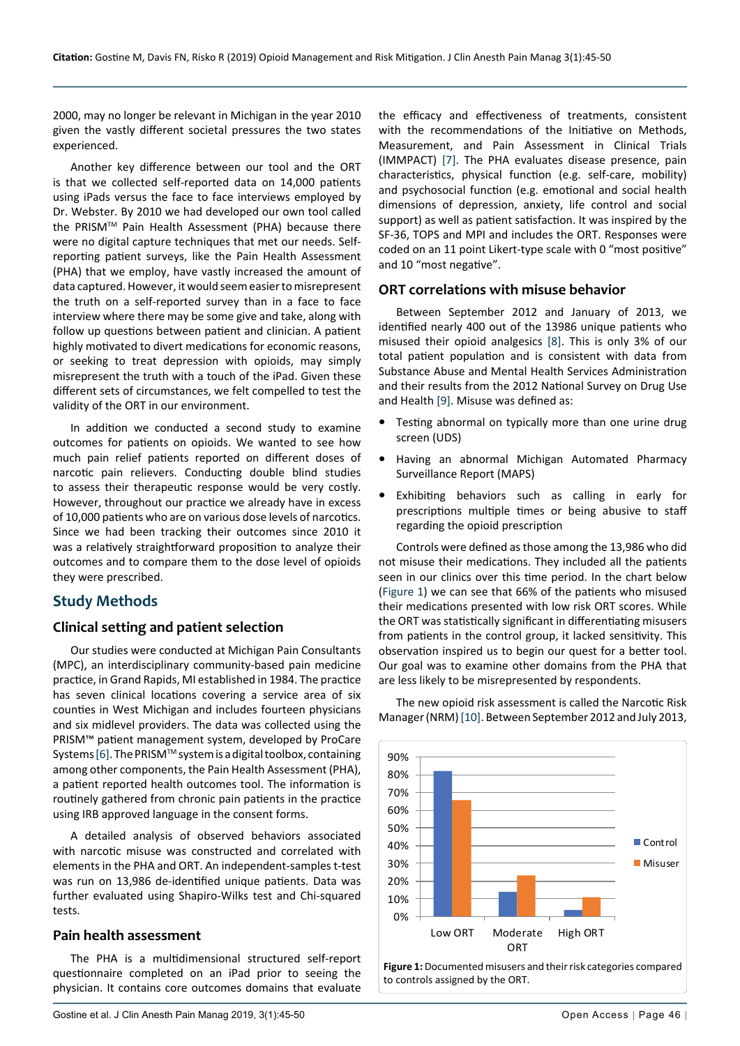2000, may no longer be relevant in Michigan in the year 2010 given the vastly different societal pressures the two states experienced.

Another key difference between our tool and the ORT is that we collected self-reported data on 14,000 patients using iPads versus the face to face interviews employed by Dr. Webster. By 2010 we had developed our own tool called the PRISMTM Pain Health Assessment (PHA) because there were no digital capture techniques that met our needs. Selfreporting patient surveys, like the Pain Health Assessment (PHA) that we employ, have vastly increased the amount of data captured. However, it would seem easier to misrepresent the truth on a self-reported survey than in a face to face interview where there may be some give and take, along with follow up questions between patient and clinician. A patient highly motivated to divert medications for economic reasons, or seeking to treat depression with opioids, may simply misrepresent the truth with a touch of the iPad. Given these different sets of circumstances, we felt compelled to test the validity of the ORT in our environment.

In addition we conducted a second study to examine outcomes for patients on opioids. We wanted to see how much pain relief patients reported on different doses of narcotic pain relievers. Conducting double blind studies to assess their therapeutic response would be very costly. However, throughout our practice we already have in excess of 10,000 patients who are on various dose levels of narcotics. Since we had been tracking their outcomes since 2010 it was a relatively straightforward proposition to analyze their outcomes and to compare them to the dose level of opioids they were prescribed.

### **Study Methods**

#### **Clinical setting and patient selection**

Our studies were conducted at Michigan Pain Consultants (MPC), an interdisciplinary community-based pain medicine practice, in Grand Rapids, MI established in 1984. The practice has seven clinical locations covering a service area of six counties in West Michigan and includes fourteen physicians and six midlevel providers. The data was collected using the PRISM™ patient management system, developed by ProCare Systems [\[6](#page-5-9)]. The PRISM™ system is a digital toolbox, containing among other components, the Pain Health Assessment (PHA), a patient reported health outcomes tool. The information is routinely gathered from chronic pain patients in the practice using IRB approved language in the consent forms.

A detailed analysis of observed behaviors associated with narcotic misuse was constructed and correlated with elements in the PHA and ORT. An independent-samples t-test was run on 13,986 de-identified unique patients. Data was further evaluated using Shapiro-Wilks test and Chi-squared tests.

#### **Pain health assessment**

The PHA is a multidimensional structured self-report questionnaire completed on an iPad prior to seeing the physician. It contains core outcomes domains that evaluate

the efficacy and effectiveness of treatments, consistent with the recommendations of the Initiative on Methods, Measurement, and Pain Assessment in Clinical Trials (IMMPACT) [[7\]](#page-5-5). The PHA evaluates disease presence, pain characteristics, physical function (e.g. self-care, mobility) and psychosocial function (e.g. emotional and social health dimensions of depression, anxiety, life control and social support) as well as patient satisfaction. It was inspired by the SF-36, TOPS and MPI and includes the ORT. Responses were coded on an 11 point Likert-type scale with 0 "most positive" and 10 "most negative".

#### **ORT correlations with misuse behavior**

Between September 2012 and January of 2013, we identified nearly 400 out of the 13986 unique patients who misused their opioid analgesics [[8\]](#page-5-6). This is only 3% of our total patient population and is consistent with data from Substance Abuse and Mental Health Services Administration and their results from the 2012 National Survey on Drug Use and Health [[9\]](#page-5-7). Misuse was defined as:

- Testing abnormal on typically more than one urine drug screen (UDS)
- **•**  Having an abnormal Michigan Automated Pharmacy Surveillance Report (MAPS)
- Exhibiting behaviors such as calling in early for prescriptions multiple times or being abusive to staff regarding the opioid prescription

Controls were defined as those among the 13,986 who did not misuse their medications. They included all the patients seen in our clinics over this time period. In the chart below ([Figure 1\)](#page-1-0) we can see that 66% of the patients who misused their medications presented with low risk ORT scores. While the ORT was statistically significant in differentiating misusers from patients in the control group, it lacked sensitivity. This observation inspired us to begin our quest for a better tool. Our goal was to examine other domains from the PHA that are less likely to be misrepresented by respondents.

<span id="page-1-0"></span>

The new opioid risk assessment is called the Narcotic Risk Manager (NRM) [[10\]](#page-5-8). Between September 2012 and July 2013,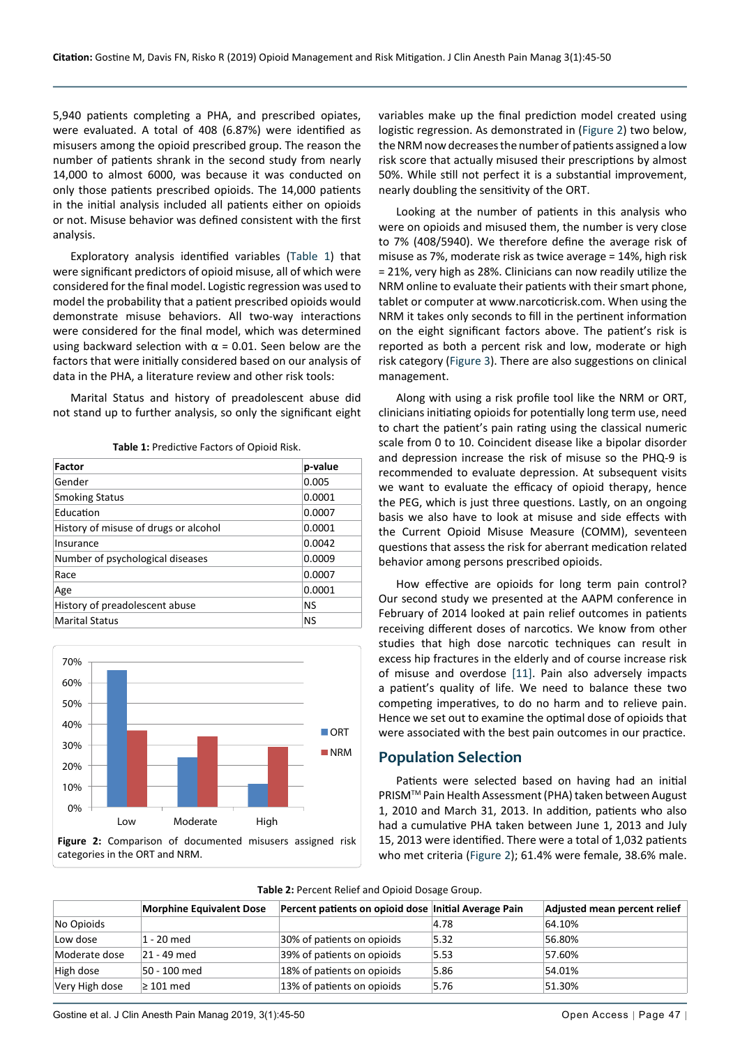5,940 patients completing a PHA, and prescribed opiates, were evaluated. A total of 408 (6.87%) were identified as misusers among the opioid prescribed group. The reason the number of patients shrank in the second study from nearly 14,000 to almost 6000, was because it was conducted on only those patients prescribed opioids. The 14,000 patients in the initial analysis included all patients either on opioids or not. Misuse behavior was defined consistent with the first analysis.

Exploratory analysis identified variables ([Table 1\)](#page-2-1) that were significant predictors of opioid misuse, all of which were considered for the final model. Logistic regression was used to model the probability that a patient prescribed opioids would demonstrate misuse behaviors. All two-way interactions were considered for the final model, which was determined using backward selection with  $α = 0.01$ . Seen below are the factors that were initially considered based on our analysis of data in the PHA, a literature review and other risk tools:

Marital Status and history of preadolescent abuse did not stand up to further analysis, so only the significant eight

<span id="page-2-1"></span>**Table 1:** Predictive Factors of Opioid Risk.

| <b>Factor</b>                         | p-value |
|---------------------------------------|---------|
| Gender                                | 0.005   |
| <b>Smoking Status</b>                 | 0.0001  |
| Education                             | 0.0007  |
| History of misuse of drugs or alcohol | 0.0001  |
| Insurance                             | 0.0042  |
| Number of psychological diseases      | 0.0009  |
| Race                                  | 0.0007  |
| Age                                   | 0.0001  |
| History of preadolescent abuse        | NS      |
| <b>Marital Status</b>                 | NS      |

<span id="page-2-0"></span>

variables make up the final prediction model created using logistic regression. As demonstrated in ([Figure 2](#page-2-0)) two below, the NRM now decreases the number of patients assigned a low risk score that actually misused their prescriptions by almost 50%. While still not perfect it is a substantial improvement, nearly doubling the sensitivity of the ORT.

Looking at the number of patients in this analysis who were on opioids and misused them, the number is very close to 7% (408/5940). We therefore define the average risk of misuse as 7%, moderate risk as twice average = 14%, high risk = 21%, very high as 28%. Clinicians can now readily utilize the NRM online to evaluate their patients with their smart phone, tablet or computer at [www.narcoticrisk.com.](http://www.narcoticrisk.com) When using the NRM it takes only seconds to fill in the pertinent information on the eight significant factors above. The patient's risk is reported as both a percent risk and low, moderate or high risk category ([Figure 3\)](#page-3-0). There are also suggestions on clinical management.

Along with using a risk profile tool like the NRM or ORT, clinicians initiating opioids for potentially long term use, need to chart the patient's pain rating using the classical numeric scale from 0 to 10. Coincident disease like a bipolar disorder and depression increase the risk of misuse so the PHQ-9 is recommended to evaluate depression. At subsequent visits we want to evaluate the efficacy of opioid therapy, hence the PEG, which is just three questions. Lastly, on an ongoing basis we also have to look at misuse and side effects with the Current Opioid Misuse Measure (COMM), seventeen questions that assess the risk for aberrant medication related behavior among persons prescribed opioids.

How effective are opioids for long term pain control? Our second study we presented at the AAPM conference in February of 2014 looked at pain relief outcomes in patients receiving different doses of narcotics. We know from other studies that high dose narcotic techniques can result in excess hip fractures in the elderly and of course increase risk of misuse and overdose [\[11](#page-5-10)]. Pain also adversely impacts a patient's quality of life. We need to balance these two competing imperatives, to do no harm and to relieve pain. Hence we set out to examine the optimal dose of opioids that were associated with the best pain outcomes in our practice.

#### **Population Selection**

Patients were selected based on having had an initial PRISMTM Pain Health Assessment (PHA) taken between August 1, 2010 and March 31, 2013. In addition, patients who also had a cumulative PHA taken between June 1, 2013 and July 15, 2013 were identified. There were a total of 1,032 patients who met criteria [\(Figure 2](#page-2-0)); 61.4% were female, 38.6% male.

<span id="page-2-2"></span>

| Table 2: Percent Relief and Opioid Dosage Group. |  |
|--------------------------------------------------|--|
|--------------------------------------------------|--|

|                | <b>Morphine Equivalent Dose</b> | Percent patients on opioid dose Initial Average Pain |      | Adjusted mean percent relief |
|----------------|---------------------------------|------------------------------------------------------|------|------------------------------|
| No Opioids     |                                 |                                                      | 4.78 | 64.10%                       |
| Low dose       | 1 - 20 med                      | 30% of patients on opioids                           | 5.32 | 56.80%                       |
| Moderate dose  | 21 - 49 med                     | 39% of patients on opioids                           | 5.53 | 57.60%                       |
| High dose      | 50 - 100 med                    | 18% of patients on opioids                           | 5.86 | 54.01%                       |
| Very High dose | $\geq 101$ med                  | 13% of patients on opioids                           | 5.76 | 51.30%                       |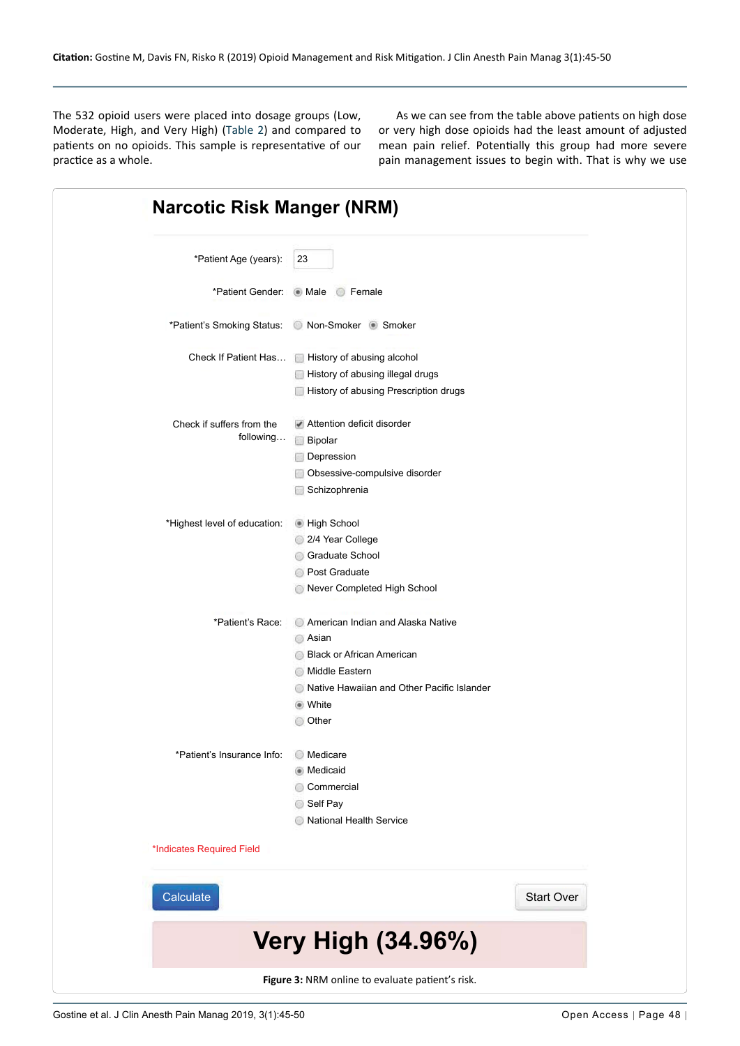The 532 opioid users were placed into dosage groups (Low, Moderate, High, and Very High) ([Table 2](#page-2-2)) and compared to patients on no opioids. This sample is representative of our practice as a whole.

As we can see from the table above patients on high dose or very high dose opioids had the least amount of adjusted mean pain relief. Potentially this group had more severe pain management issues to begin with. That is why we use

<span id="page-3-0"></span>

| <b>Narcotic Risk Manger (NRM)</b>                |                                                                                                                                                                           |                   |  |  |  |  |
|--------------------------------------------------|---------------------------------------------------------------------------------------------------------------------------------------------------------------------------|-------------------|--|--|--|--|
| *Patient Age (years):                            | 23                                                                                                                                                                        |                   |  |  |  |  |
|                                                  | *Patient Gender: Male Female                                                                                                                                              |                   |  |  |  |  |
|                                                  | *Patient's Smoking Status:  o Non-Smoker Smoker  s Smoker *Patient's Smoking Status:  o Non-Smoker **                                                                     |                   |  |  |  |  |
|                                                  | Check If Patient Has In History of abusing alcohol<br>History of abusing illegal drugs<br>History of abusing Prescription drugs                                           |                   |  |  |  |  |
| Check if suffers from the<br>following           | Attention deficit disorder<br><b>Bipolar</b><br>Depression<br>Obsessive-compulsive disorder<br>Schizophrenia                                                              |                   |  |  |  |  |
| *Highest level of education:                     | High School<br>2/4 Year College<br>Graduate School<br><b>Post Graduate</b><br>Never Completed High School                                                                 |                   |  |  |  |  |
| *Patient's Race:                                 | American Indian and Alaska Native<br>Asian<br><b>Black or African American</b><br>Middle Eastern<br>Native Hawaiian and Other Pacific Islander<br>● White<br><b>Other</b> |                   |  |  |  |  |
| *Patient's Insurance Info:                       | <b>Medicare</b><br>• Medicaid<br>Commercial<br>Self Pay<br>National Health Service                                                                                        |                   |  |  |  |  |
| *Indicates Required Field                        |                                                                                                                                                                           |                   |  |  |  |  |
| Calculate                                        |                                                                                                                                                                           | <b>Start Over</b> |  |  |  |  |
| <b>Very High (34.96%)</b>                        |                                                                                                                                                                           |                   |  |  |  |  |
| Figure 3: NRM online to evaluate patient's risk. |                                                                                                                                                                           |                   |  |  |  |  |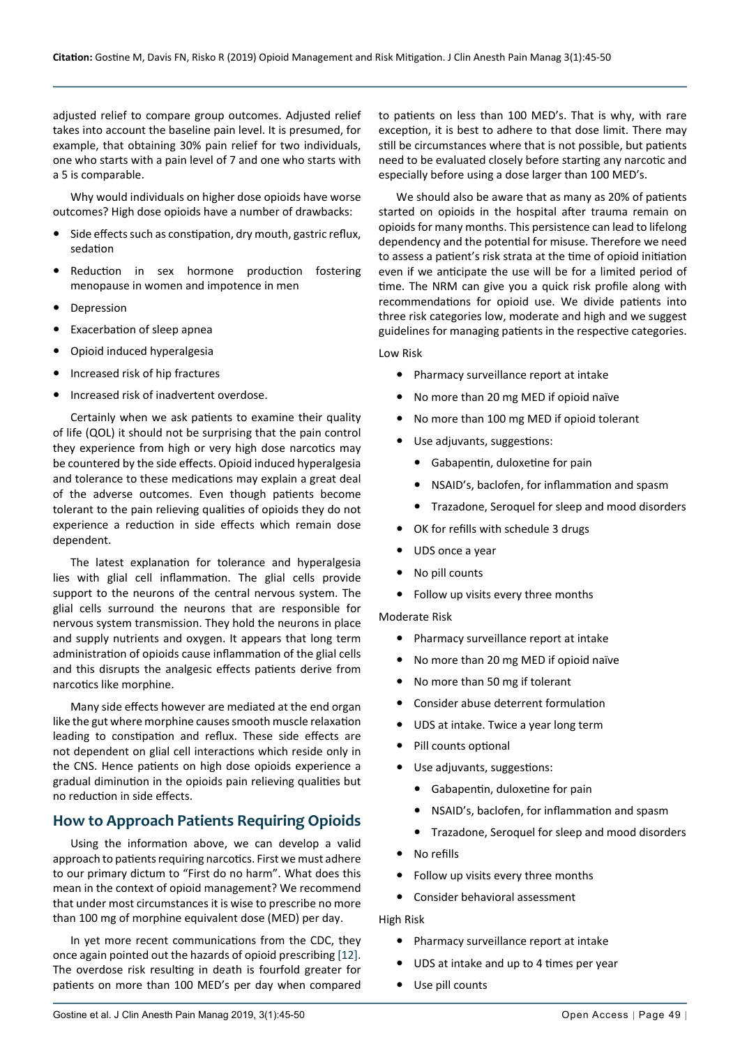adjusted relief to compare group outcomes. Adjusted relief takes into account the baseline pain level. It is presumed, for example, that obtaining 30% pain relief for two individuals, one who starts with a pain level of 7 and one who starts with a 5 is comparable.

Why would individuals on higher dose opioids have worse outcomes? High dose opioids have a number of drawbacks:

- Side effects such as constipation, dry mouth, gastric reflux, sedation
- Reduction in sex hormone production fostering menopause in women and impotence in men
- **Depression**
- **•**  Exacerbation of sleep apnea
- **Opioid induced hyperalgesia**
- **Increased risk of hip fractures**
- **•**  Increased risk of inadvertent overdose.

Certainly when we ask patients to examine their quality of life (QOL) it should not be surprising that the pain control they experience from high or very high dose narcotics may be countered by the side effects. Opioid induced hyperalgesia and tolerance to these medications may explain a great deal of the adverse outcomes. Even though patients become tolerant to the pain relieving qualities of opioids they do not experience a reduction in side effects which remain dose dependent.

The latest explanation for tolerance and hyperalgesia lies with glial cell inflammation. The glial cells provide support to the neurons of the central nervous system. The glial cells surround the neurons that are responsible for nervous system transmission. They hold the neurons in place and supply nutrients and oxygen. It appears that long term administration of opioids cause inflammation of the glial cells and this disrupts the analgesic effects patients derive from narcotics like morphine.

Many side effects however are mediated at the end organ like the gut where morphine causes smooth muscle relaxation leading to constipation and reflux. These side effects are not dependent on glial cell interactions which reside only in the CNS. Hence patients on high dose opioids experience a gradual diminution in the opioids pain relieving qualities but no reduction in side effects.

### **How to Approach Patients Requiring Opioids**

Using the information above, we can develop a valid approach to patients requiring narcotics. First we must adhere to our primary dictum to "First do no harm". What does this mean in the context of opioid management? We recommend that under most circumstances it is wise to prescribe no more than 100 mg of morphine equivalent dose (MED) per day.

In yet more recent communications from the CDC, they once again pointed out the hazards of opioid prescribing [[12\]](#page-5-11). The overdose risk resulting in death is fourfold greater for patients on more than 100 MED's per day when compared to patients on less than 100 MED's. That is why, with rare exception, it is best to adhere to that dose limit. There may still be circumstances where that is not possible, but patients need to be evaluated closely before starting any narcotic and especially before using a dose larger than 100 MED's.

We should also be aware that as many as 20% of patients started on opioids in the hospital after trauma remain on opioids for many months. This persistence can lead to lifelong dependency and the potential for misuse. Therefore we need to assess a patient's risk strata at the time of opioid initiation even if we anticipate the use will be for a limited period of time. The NRM can give you a quick risk profile along with recommendations for opioid use. We divide patients into three risk categories low, moderate and high and we suggest guidelines for managing patients in the respective categories.

#### Low Risk

- **•**  Pharmacy surveillance report at intake
- **•**  No more than 20 mg MED if opioid naïve
- **•**  No more than 100 mg MED if opioid tolerant
- **•**  Use adjuvants, suggestions:
	- **•**  Gabapentin, duloxetine for pain
	- **•**  NSAID's, baclofen, for inflammation and spasm
	- **•**  Trazadone, Seroquel for sleep and mood disorders
- **•**  OK for refills with schedule 3 drugs
- **•**  UDS once a year
- **•**  No pill counts
- **•**  Follow up visits every three months

Moderate Risk

- **•**  Pharmacy surveillance report at intake
- **•**  No more than 20 mg MED if opioid naïve
- **•**  No more than 50 mg if tolerant
- **•**  Consider abuse deterrent formulation
- **•**  UDS at intake. Twice a year long term
- **•**  Pill counts optional
- **•**  Use adjuvants, suggestions:
	- **•**  Gabapentin, duloxetine for pain
	- NSAID's, baclofen, for inflammation and spasm
	- **•**  Trazadone, Seroquel for sleep and mood disorders
- **•**  No refills
- **•**  Follow up visits every three months
- **•**  Consider behavioral assessment

High Risk

- **•**  Pharmacy surveillance report at intake
- **•**  UDS at intake and up to 4 times per year
- **•**  Use pill counts